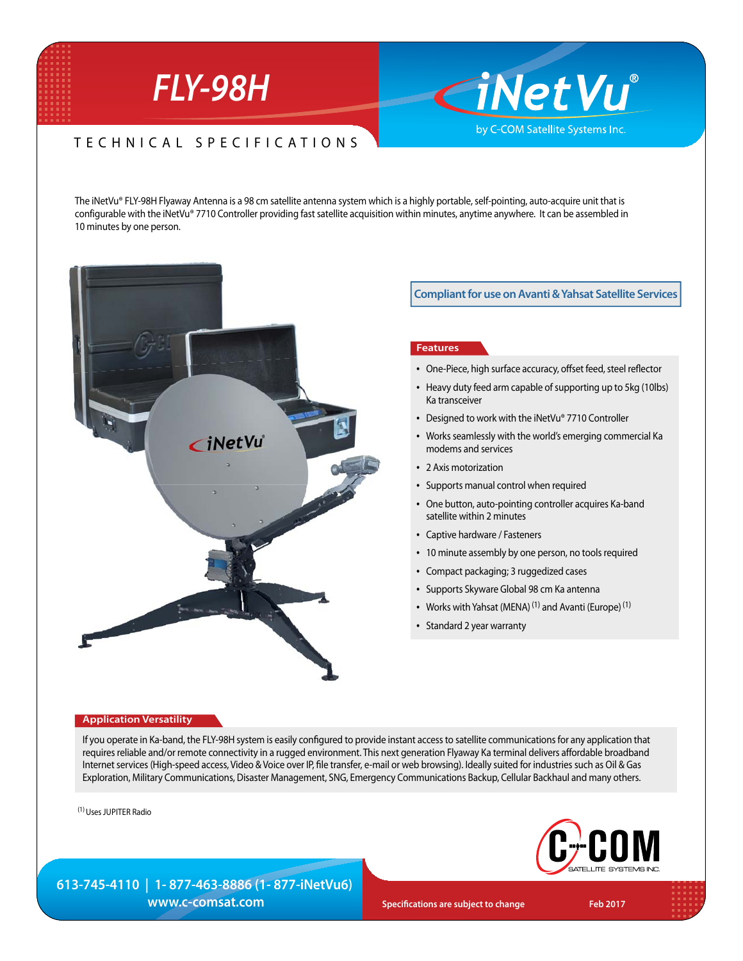# *FLY-98H*

## TECHNICAL SPECIFICATIONS

The iNetVu® FLY-98H Flyaway Antenna is a 98 cm satellite antenna system which is a highly portable, self-pointing, auto-acquire unit that is configurable with the iNetVu® 7710 Controller providing fast satellite acquisition within minutes, anytime anywhere. It can be assembled in 10 minutes by one person.



**Compliant for use on Avanti & Yahsat Satellite Services**

**CiNetVu**®

by C-COM Satellite Systems Inc.

#### **Features**

- One-Piece, high surface accuracy, offset feed, steel reflector
- Heavy duty feed arm capable of supporting up to 5kg (10lbs) Ka transceiver
- Designed to work with the iNetVu® 7710 Controller
- Works seamlessly with the world's emerging commercial Ka modems and services
- 2 Axis motorization
- Supports manual control when required
- One button, auto-pointing controller acquires Ka-band satellite within 2 minutes
- Captive hardware / Fasteners
- 10 minute assembly by one person, no tools required
- Compact packaging; 3 ruggedized cases
- Supports Skyware Global 98 cm Ka antenna
- Works with Yahsat (MENA)<sup>(1)</sup> and Avanti (Europe)<sup>(1)</sup>
- Standard 2 year warranty

#### **Application Versatility**

If you operate in Ka-band, the FLY-98H system is easily configured to provide instant access to satellite communications for any application that requires reliable and/or remote connectivity in a rugged environment. This next generation Flyaway Ka terminal delivers affordable broadband Internet services (High-speed access, Video & Voice over IP, file transfer, e-mail or web browsing). Ideally suited for industries such as Oil & Gas Exploration, Military Communications, Disaster Management, SNG, Emergency Communications Backup, Cellular Backhaul and many others.

(1) Uses JUPITER Radio



**613-745-4110 | 1- 877-463-8886 (1- 877-iNetVu6) WWW.C-COMSat.COM Specifications are subject to change** Feb 2017